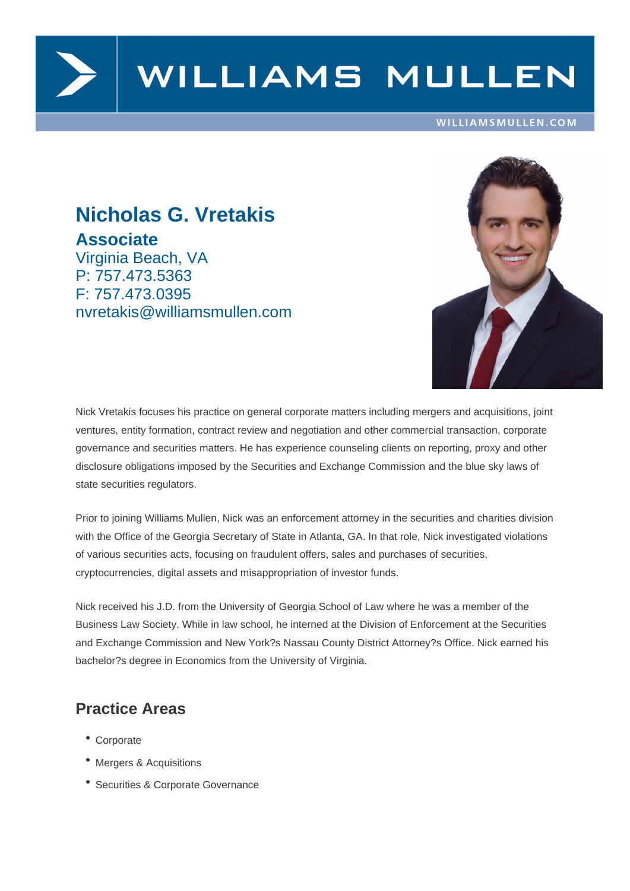

# WILLIAMS MULLEN

#### WILLIAMSMULLEN.COM

## **Nicholas G. Vretakis Associate**

Virginia Beach, VA P: 757.473.5363 F: 757.473.0395 nvretakis@williamsmullen.com



Nick Vretakis focuses his practice on general corporate matters including mergers and acquisitions, joint ventures, entity formation, contract review and negotiation and other commercial transaction, corporate governance and securities matters. He has experience counseling clients on reporting, proxy and other disclosure obligations imposed by the Securities and Exchange Commission and the blue sky laws of state securities regulators.

Prior to joining Williams Mullen, Nick was an enforcement attorney in the securities and charities division with the Office of the Georgia Secretary of State in Atlanta, GA. In that role, Nick investigated violations of various securities acts, focusing on fraudulent offers, sales and purchases of securities, cryptocurrencies, digital assets and misappropriation of investor funds.

Nick received his J.D. from the University of Georgia School of Law where he was a member of the Business Law Society. While in law school, he interned at the Division of Enforcement at the Securities and Exchange Commission and New York?s Nassau County District Attorney?s Office. Nick earned his bachelor?s degree in Economics from the University of Virginia.

#### **Practice Areas**

- Corporate
- Mergers & Acquisitions
- Securities & Corporate Governance